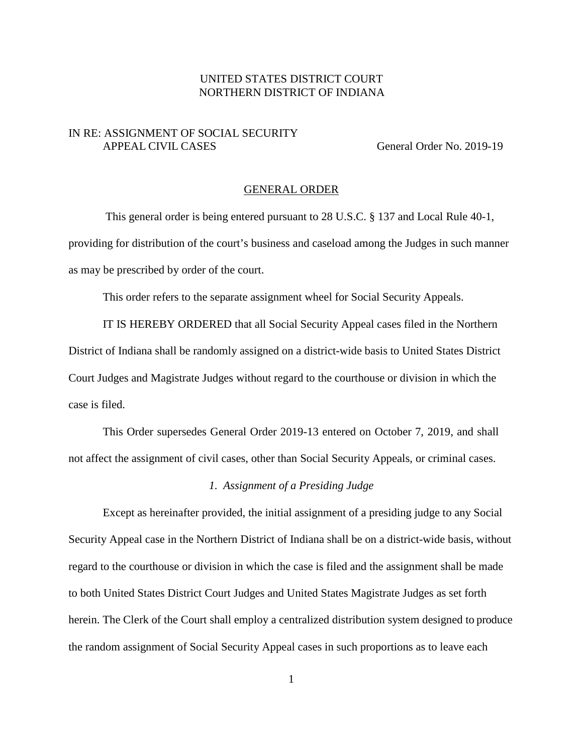# UNITED STATES DISTRICT COURT NORTHERN DISTRICT OF INDIANA

## IN RE: ASSIGNMENT OF SOCIAL SECURITY APPEAL CIVIL CASES General Order No. 2019-19

### GENERAL ORDER

This general order is being entered pursuant to 28 U.S.C. § 137 and Local Rule 40-1, providing for distribution of the court's business and caseload among the Judges in such manner as may be prescribed by order of the court.

This order refers to the separate assignment wheel for Social Security Appeals.

IT IS HEREBY ORDERED that all Social Security Appeal cases filed in the Northern District of Indiana shall be randomly assigned on a district-wide basis to United States District Court Judges and Magistrate Judges without regard to the courthouse or division in which the case is filed.

This Order supersedes General Order 2019-13 entered on October 7, 2019, and shall not affect the assignment of civil cases, other than Social Security Appeals, or criminal cases.

#### *1. Assignment of a Presiding Judge*

Except as hereinafter provided, the initial assignment of a presiding judge to any Social Security Appeal case in the Northern District of Indiana shall be on a district-wide basis, without regard to the courthouse or division in which the case is filed and the assignment shall be made to both United States District Court Judges and United States Magistrate Judges as set forth herein. The Clerk of the Court shall employ a centralized distribution system designed to produce the random assignment of Social Security Appeal cases in such proportions as to leave each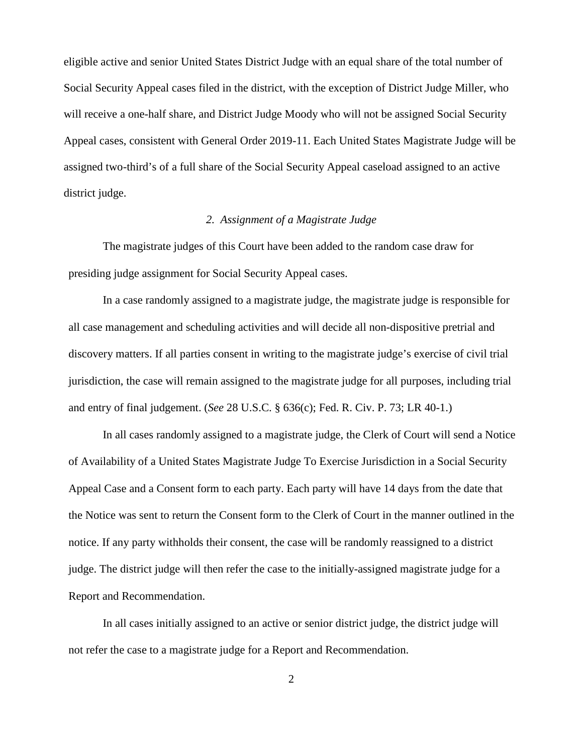eligible active and senior United States District Judge with an equal share of the total number of Social Security Appeal cases filed in the district, with the exception of District Judge Miller, who will receive a one-half share, and District Judge Moody who will not be assigned Social Security Appeal cases, consistent with General Order 2019-11. Each United States Magistrate Judge will be assigned two-third's of a full share of the Social Security Appeal caseload assigned to an active district judge.

## *2. Assignment of a Magistrate Judge*

The magistrate judges of this Court have been added to the random case draw for presiding judge assignment for Social Security Appeal cases.

In a case randomly assigned to a magistrate judge, the magistrate judge is responsible for all case management and scheduling activities and will decide all non-dispositive pretrial and discovery matters. If all parties consent in writing to the magistrate judge's exercise of civil trial jurisdiction, the case will remain assigned to the magistrate judge for all purposes, including trial and entry of final judgement. (*See* 28 U.S.C. § 636(c); Fed. R. Civ. P. 73; LR 40-1.)

In all cases randomly assigned to a magistrate judge, the Clerk of Court will send a Notice of Availability of a United States Magistrate Judge To Exercise Jurisdiction in a Social Security Appeal Case and a Consent form to each party. Each party will have 14 days from the date that the Notice was sent to return the Consent form to the Clerk of Court in the manner outlined in the notice. If any party withholds their consent, the case will be randomly reassigned to a district judge. The district judge will then refer the case to the initially-assigned magistrate judge for a Report and Recommendation.

In all cases initially assigned to an active or senior district judge, the district judge will not refer the case to a magistrate judge for a Report and Recommendation.